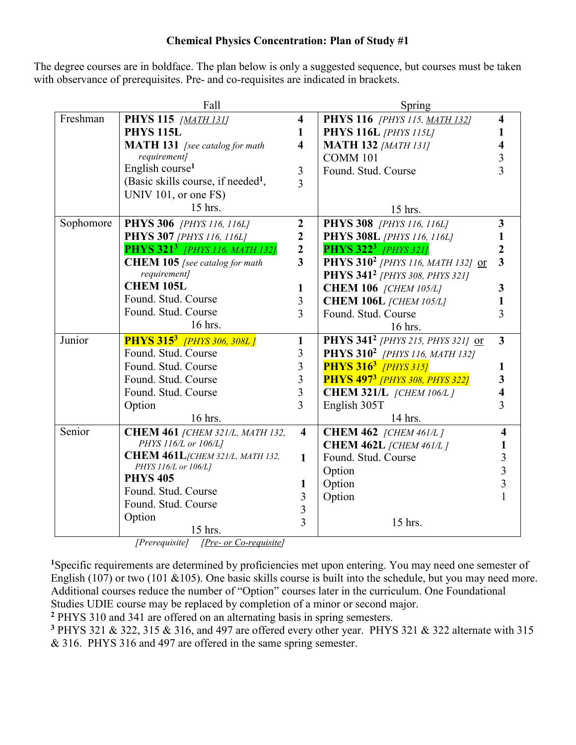## **Chemical Physics Concentration: Plan of Study #1**

The degree courses are in boldface. The plan below is only a suggested sequence, but courses must be taken with observance of prerequisites. Pre- and co-requisites are indicated in brackets.

|           | Fall                                             |                         | Spring                                           |                         |
|-----------|--------------------------------------------------|-------------------------|--------------------------------------------------|-------------------------|
| Freshman  | PHYS 115 [MATH 131]                              | $\overline{\mathbf{4}}$ | PHYS 116 [PHYS 115, MATH 132]                    | 4                       |
|           | <b>PHYS 115L</b>                                 | $\mathbf{1}$            | <b>PHYS 116L</b> [PHYS 115L]                     |                         |
|           | <b>MATH 131</b> [see catalog for math            | $\overline{\mathbf{4}}$ | <b>MATH 132 [MATH 131]</b>                       |                         |
|           | requirement]                                     |                         | <b>COMM 101</b>                                  | 3                       |
|           | English course <sup>1</sup>                      | $\mathfrak{Z}$          | Found. Stud. Course                              | $\overline{3}$          |
|           | (Basic skills course, if needed <sup>1</sup> ,   | 3                       |                                                  |                         |
|           | UNIV 101, or one FS)                             |                         |                                                  |                         |
|           | 15 hrs.                                          |                         | 15 hrs.                                          |                         |
| Sophomore | <b>PHYS 306</b> [PHYS 116, 116L]                 | $\overline{\mathbf{2}}$ | PHYS 308 [PHYS 116, 116L]                        | $\overline{\mathbf{3}}$ |
|           | <b>PHYS 307</b> [PHYS 116, 116L]                 | $\boldsymbol{2}$        | <b>PHYS 308L</b> [PHYS 116, 116L]                |                         |
|           | <b>PHYS 321<sup>3</sup></b> [PHYS 116, MATH 132] | $\mathbf{2}$            | <b>PHYS 322<sup>3</sup></b> [PHYS 321]           |                         |
|           | <b>CHEM 105</b> [see catalog for math            | $\overline{3}$          | PHYS 310 <sup>2</sup> [PHYS 116, MATH 132] or    | $\overline{\mathbf{3}}$ |
|           | requirement]                                     |                         | PHYS 341 <sup>2</sup> [PHYS 308, PHYS 321]       |                         |
|           | <b>CHEM 105L</b>                                 | $\mathbf{1}$            | <b>CHEM 106</b> [CHEM 105/L]                     | 3                       |
|           | Found. Stud. Course                              | $\overline{3}$          | <b>CHEM 106L</b> [CHEM 105/L]                    |                         |
|           | Found. Stud. Course                              | $\overline{3}$          | Found. Stud. Course                              | $\overline{3}$          |
|           | 16 hrs.                                          |                         | 16 hrs.                                          |                         |
| Junior    | <b>PHYS 315<sup>3</sup></b> [PHYS 306, 308L]     | $\mathbf{1}$            | PHYS 341 <sup>2</sup> [PHYS 215, PHYS 321] or    | $\overline{3}$          |
|           | Found. Stud. Course                              | 3                       | PHYS 310 <sup>2</sup> [PHYS 116, MATH 132]       |                         |
|           | Found. Stud. Course                              | $\overline{3}$          | <b>PHYS 316<sup>3</sup></b> [PHYS 315]           | 1                       |
|           | Found. Stud. Course                              | $\overline{3}$          | <b>PHYS 497<sup>3</sup></b> [PHYS 308, PHYS 322] | 3                       |
|           | Found. Stud. Course                              | $\overline{\mathbf{3}}$ | <b>CHEM 321/L</b> [CHEM 106/L]                   |                         |
|           | Option                                           | $\overline{3}$          | English 305T                                     | $\overline{3}$          |
|           | 16 hrs.                                          |                         | 14 hrs.                                          |                         |
| Senior    | СНЕМ 461 [СНЕМ 321/L, МАТН 132,                  | $\overline{\mathbf{4}}$ | <b>CHEM 462</b> [CHEM 461/L]                     | 4                       |
|           | PHYS 116/L or 106/L]                             |                         | <b>CHEM 462L</b> [CHEM 461/L]                    |                         |
|           | СНЕМ 461 L/СНЕМ 321/L, МАТН 132,                 | $\mathbf{1}$            | Found. Stud. Course                              | 3                       |
|           | PHYS 116/L or 106/L]<br><b>PHYS 405</b>          |                         | Option                                           | $\overline{3}$          |
|           | Found. Stud. Course                              | 1                       | Option                                           | $\overline{3}$          |
|           | Found. Stud. Course                              | 3                       | Option                                           |                         |
|           |                                                  | $\overline{3}$          |                                                  |                         |
|           | Option                                           | 3                       | 15 hrs.                                          |                         |
|           | 15 hrs.                                          |                         |                                                  |                         |

*[Prerequisite] [Pre- or Co-requisite]*

**<sup>1</sup>**Specific requirements are determined by proficiencies met upon entering. You may need one semester of English (107) or two (101 & 105). One basic skills course is built into the schedule, but you may need more. Additional courses reduce the number of "Option" courses later in the curriculum. One Foundational Studies UDIE course may be replaced by completion of a minor or second major.

**<sup>2</sup>** PHYS 310 and 341 are offered on an alternating basis in spring semesters.

**<sup>3</sup>** PHYS 321 & 322, 315 & 316, and 497 are offered every other year. PHYS 321 & 322 alternate with 315 & 316. PHYS 316 and 497 are offered in the same spring semester.